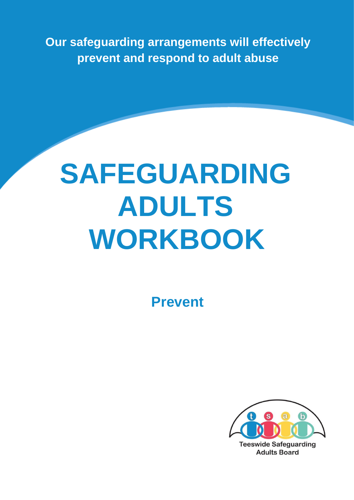**Our safeguarding arrangements will effectively prevent and respond to adult abuse** 

# **SAFEGUARDING ADULTS WORKBOOK**

**Prevent** 

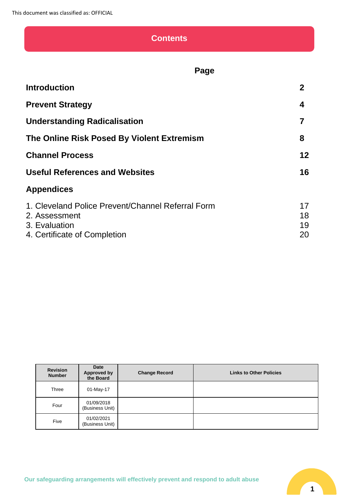## **Contents**

## **Page**

| <b>Introduction</b>                                                                                                 | $\mathbf 2$          |
|---------------------------------------------------------------------------------------------------------------------|----------------------|
| <b>Prevent Strategy</b>                                                                                             | 4                    |
| <b>Understanding Radicalisation</b>                                                                                 |                      |
| The Online Risk Posed By Violent Extremism                                                                          | 8                    |
| <b>Channel Process</b>                                                                                              | $12 \,$              |
| <b>Useful References and Websites</b>                                                                               | 16                   |
| <b>Appendices</b>                                                                                                   |                      |
| 1. Cleveland Police Prevent/Channel Referral Form<br>2. Assessment<br>3. Evaluation<br>4. Certificate of Completion | 17<br>18<br>19<br>20 |

| <b>Revision</b><br><b>Number</b> | Date<br>Approved by<br>the Board | <b>Change Record</b> | <b>Links to Other Policies</b> |
|----------------------------------|----------------------------------|----------------------|--------------------------------|
| Three                            | 01-May-17                        |                      |                                |
| Four                             | 01/09/2018<br>(Business Unit)    |                      |                                |
| Five                             | 01/02/2021<br>(Business Unit)    |                      |                                |

**Our safeguarding arrangements will effectively prevent and respond to adult abuse**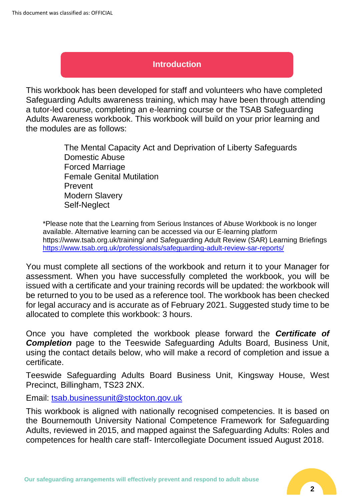## **Introduction**

This workbook has been developed for staff and volunteers who have completed Safeguarding Adults awareness training, which may have been through attending a tutor-led course, completing an e-learning course or the TSAB Safeguarding Adults Awareness workbook. This workbook will build on your prior learning and the modules are as follows:

> The Mental Capacity Act and Deprivation of Liberty Safeguards Domestic Abuse Forced Marriage Female Genital Mutilation Prevent Modern Slavery Self-Neglect

\*Please note that the Learning from Serious Instances of Abuse Workbook is no longer available. Alternative learning can be accessed via our E-learning platform https://www.tsab.org.uk/training/ and Safeguarding Adult Review (SAR) Learning Briefings <https://www.tsab.org.uk/professionals/safeguarding-adult-review-sar-reports/>

You must complete all sections of the workbook and return it to your Manager for assessment. When you have successfully completed the workbook, you will be issued with a certificate and your training records will be updated: the workbook will be returned to you to be used as a reference tool. The workbook has been checked for legal accuracy and is accurate as of February 2021. Suggested study time to be allocated to complete this workbook: 3 hours.

Once you have completed the workbook please forward the *Certificate of*  **Completion** page to the Teeswide Safeguarding Adults Board, Business Unit, using the contact details below, who will make a record of completion and issue a certificate.

Teeswide Safeguarding Adults Board Business Unit, Kingsway House, West Precinct, Billingham, TS23 2NX.

Email: [tsab.businessunit@stockton.gov.uk](mailto:tsab.businessunit@stockton.gov.uk)

This workbook is aligned with nationally recognised competencies. It is based on the Bournemouth University National Competence Framework for Safeguarding Adults, reviewed in 2015, and mapped against the Safeguarding Adults: Roles and competences for health care staff- Intercollegiate Document issued August 2018.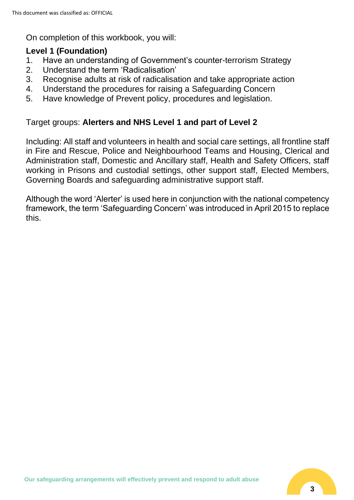On completion of this workbook, you will:

#### **Level 1 (Foundation)**

- 1. Have an understanding of Government's counter-terrorism Strategy
- 2. Understand the term 'Radicalisation'
- 3. Recognise adults at risk of radicalisation and take appropriate action
- 4. Understand the procedures for raising a Safeguarding Concern
- 5. Have knowledge of Prevent policy, procedures and legislation.

#### Target groups: **Alerters and NHS Level 1 and part of Level 2**

Including: All staff and volunteers in health and social care settings, all frontline staff in Fire and Rescue, Police and Neighbourhood Teams and Housing, Clerical and Administration staff, Domestic and Ancillary staff, Health and Safety Officers, staff working in Prisons and custodial settings, other support staff, Elected Members, Governing Boards and safeguarding administrative support staff.

Although the word 'Alerter' is used here in conjunction with the national competency framework, the term 'Safeguarding Concern' was introduced in April 2015 to replace this.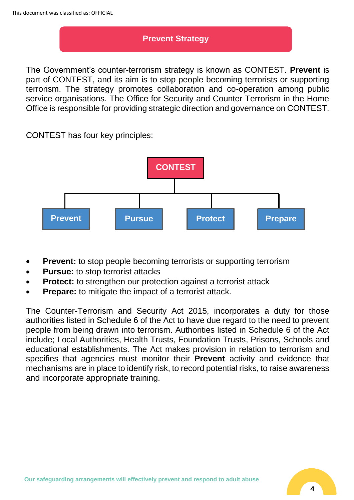## **Prevent Strategy**

The Government's counter-terrorism strategy is known as CONTEST. **Prevent** is part of CONTEST, and its aim is to stop people becoming terrorists or supporting terrorism. The strategy promotes collaboration and co-operation among public service organisations. The Office for Security and Counter Terrorism in the Home Office is responsible for providing strategic direction and governance on CONTEST.

CONTEST has four key principles:



- **Prevent:** to stop people becoming terrorists or supporting terrorism
- **Pursue:** to stop terrorist attacks
- **Protect:** to strengthen our protection against a terrorist attack
- **Prepare:** to mitigate the impact of a terrorist attack.

The Counter-Terrorism and Security Act 2015, incorporates a duty for those authorities listed in Schedule 6 of the Act to have due regard to the need to prevent people from being drawn into terrorism. Authorities listed in Schedule 6 of the Act include; Local Authorities, Health Trusts, Foundation Trusts, Prisons, Schools and educational establishments. The Act makes provision in relation to terrorism and specifies that agencies must monitor their **Prevent** activity and evidence that mechanisms are in place to identify risk, to record potential risks, to raise awareness and incorporate appropriate training.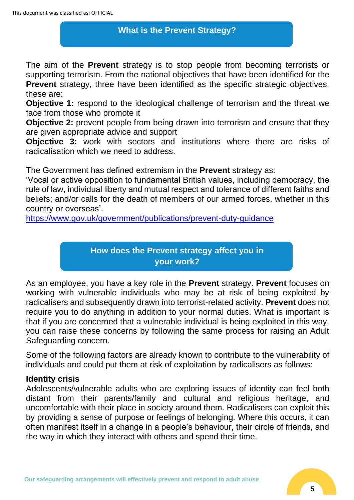## **What is the Prevent Strategy?**

The aim of the **Prevent** strategy is to stop people from becoming terrorists or supporting terrorism. From the national objectives that have been identified for the **Prevent** strategy, three have been identified as the specific strategic objectives, these are:

**Objective 1:** respond to the ideological challenge of terrorism and the threat we face from those who promote it

**Objective 2:** prevent people from being drawn into terrorism and ensure that they are given appropriate advice and support

**Objective 3:** work with sectors and institutions where there are risks of radicalisation which we need to address.

The Government has defined extremism in the **Prevent** strategy as:

'Vocal or active opposition to fundamental British values, including democracy, the rule of law, individual liberty and mutual respect and tolerance of different faiths and beliefs; and/or calls for the death of members of our armed forces, whether in this country or overseas'.

<https://www.gov.uk/government/publications/prevent-duty-guidance>

## **How does the Prevent strategy affect you in your work?**

As an employee, you have a key role in the **Prevent** strategy. **Prevent** focuses on working with vulnerable individuals who may be at risk of being exploited by radicalisers and subsequently drawn into terrorist-related activity. **Prevent** does not require you to do anything in addition to your normal duties. What is important is that if you are concerned that a vulnerable individual is being exploited in this way, you can raise these concerns by following the same process for raising an Adult Safeguarding concern.

Some of the following factors are already known to contribute to the vulnerability of individuals and could put them at risk of exploitation by radicalisers as follows:

#### **Identity crisis**

Adolescents/vulnerable adults who are exploring issues of identity can feel both distant from their parents/family and cultural and religious heritage, and uncomfortable with their place in society around them. Radicalisers can exploit this by providing a sense of purpose or feelings of belonging. Where this occurs, it can often manifest itself in a change in a people's behaviour, their circle of friends, and the way in which they interact with others and spend their time.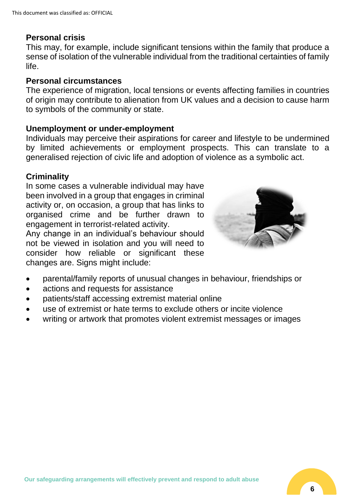#### **Personal crisis**

This may, for example, include significant tensions within the family that produce a sense of isolation of the vulnerable individual from the traditional certainties of family life.

#### **Personal circumstances**

The experience of migration, local tensions or events affecting families in countries of origin may contribute to alienation from UK values and a decision to cause harm to symbols of the community or state.

#### **Unemployment or under-employment**

Individuals may perceive their aspirations for career and lifestyle to be undermined by limited achievements or employment prospects. This can translate to a generalised rejection of civic life and adoption of violence as a symbolic act.

#### **Criminality**

In some cases a vulnerable individual may have been involved in a group that engages in criminal activity or, on occasion, a group that has links to organised crime and be further drawn to engagement in terrorist-related activity.

Any change in an individual's behaviour should not be viewed in isolation and you will need to consider how reliable or significant these changes are. Signs might include:



- parental/family reports of unusual changes in behaviour, friendships or
- actions and requests for assistance
- patients/staff accessing extremist material online
- use of extremist or hate terms to exclude others or incite violence
- writing or artwork that promotes violent extremist messages or images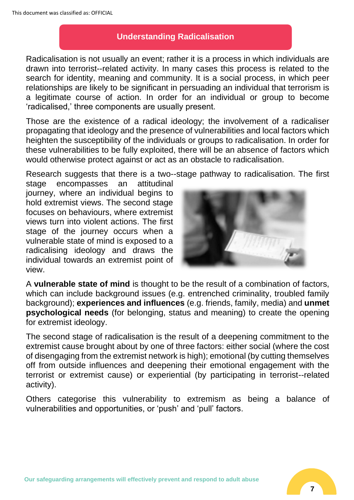## **Understanding Radicalisation**

Radicalisation is not usually an event; rather it is a process in which individuals are drawn into terrorist--related activity. In many cases this process is related to the search for identity, meaning and community. It is a social process, in which peer relationships are likely to be significant in persuading an individual that terrorism is a legitimate course of action. In order for an individual or group to become 'radicalised,' three components are usually present.

Those are the existence of a radical ideology; the involvement of a radicaliser propagating that ideology and the presence of vulnerabilities and local factors which heighten the susceptibility of the individuals or groups to radicalisation. In order for these vulnerabilities to be fully exploited, there will be an absence of factors which would otherwise protect against or act as an obstacle to radicalisation.

Research suggests that there is a two--stage pathway to radicalisation. The first

stage encompasses an attitudinal journey, where an individual begins to hold extremist views. The second stage focuses on behaviours, where extremist views turn into violent actions. The first stage of the journey occurs when a vulnerable state of mind is exposed to a radicalising ideology and draws the individual towards an extremist point of view.



A **vulnerable state of mind** is thought to be the result of a combination of factors, which can include background issues (e.g. entrenched criminality, troubled family background); **experiences and influences** (e.g. friends, family, media) and **unmet psychological needs** (for belonging, status and meaning) to create the opening for extremist ideology.

The second stage of radicalisation is the result of a deepening commitment to the extremist cause brought about by one of three factors: either social (where the cost of disengaging from the extremist network is high); emotional (by cutting themselves off from outside influences and deepening their emotional engagement with the terrorist or extremist cause) or experiential (by participating in terrorist--related activity).

Others categorise this vulnerability to extremism as being a balance of vulnerabilities and opportunities, or 'push' and 'pull' factors.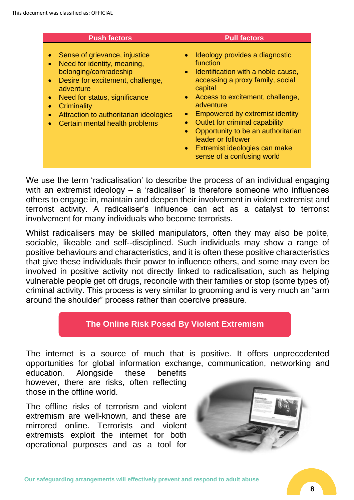| <b>Push factors</b>                                                                                                                                                                                                                                                                                                     | <b>Pull factors</b>                                                                                                                                                                                                                                                                                                                                                                                            |
|-------------------------------------------------------------------------------------------------------------------------------------------------------------------------------------------------------------------------------------------------------------------------------------------------------------------------|----------------------------------------------------------------------------------------------------------------------------------------------------------------------------------------------------------------------------------------------------------------------------------------------------------------------------------------------------------------------------------------------------------------|
| Sense of grievance, injustice<br>Need for identity, meaning,<br>$\bullet$<br>belonging/comradeship<br>Desire for excitement, challenge,<br>$\bullet$<br>adventure<br>Need for status, significance<br>$\bullet$<br>Criminality<br>Attraction to authoritarian ideologies<br>$\bullet$<br>Certain mental health problems | Ideology provides a diagnostic<br>function<br>• Identification with a noble cause,<br>accessing a proxy family, social<br>capital<br>Access to excitement, challenge,<br>$\bullet$<br>adventure<br>Empowered by extremist identity<br>Outlet for criminal capability<br>$\bullet$<br>Opportunity to be an authoritarian<br>leader or follower<br>• Extremist ideologies can make<br>sense of a confusing world |

We use the term 'radicalisation' to describe the process of an individual engaging with an extremist ideology – a 'radicaliser' is therefore someone who influences others to engage in, maintain and deepen their involvement in violent extremist and terrorist activity. A radicaliser's influence can act as a catalyst to terrorist involvement for many individuals who become terrorists.

Whilst radicalisers may be skilled manipulators, often they may also be polite, sociable, likeable and self--disciplined. Such individuals may show a range of positive behaviours and characteristics, and it is often these positive characteristics that give these individuals their power to influence others, and some may even be involved in positive activity not directly linked to radicalisation, such as helping vulnerable people get off drugs, reconcile with their families or stop (some types of) criminal activity. This process is very similar to grooming and is very much an "arm around the shoulder" process rather than coercive pressure.

## **The Online Risk Posed By Violent Extremism**

The internet is a source of much that is positive. It offers unprecedented opportunities for global information exchange, communication, networking and

education. Alongside these benefits however, there are risks, often reflecting those in the offline world.

The offline risks of terrorism and violent extremism are well-known, and these are mirrored online. Terrorists and violent extremists exploit the internet for both operational purposes and as a tool for

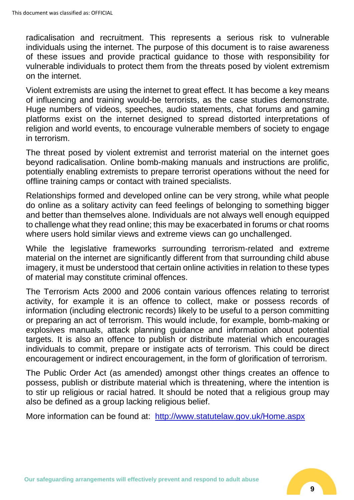radicalisation and recruitment. This represents a serious risk to vulnerable individuals using the internet. The purpose of this document is to raise awareness of these issues and provide practical guidance to those with responsibility for vulnerable individuals to protect them from the threats posed by violent extremism on the internet.

Violent extremists are using the internet to great effect. It has become a key means of influencing and training would-be terrorists, as the case studies demonstrate. Huge numbers of videos, speeches, audio statements, chat forums and gaming platforms exist on the internet designed to spread distorted interpretations of religion and world events, to encourage vulnerable members of society to engage in terrorism.

The threat posed by violent extremist and terrorist material on the internet goes beyond radicalisation. Online bomb-making manuals and instructions are prolific, potentially enabling extremists to prepare terrorist operations without the need for offline training camps or contact with trained specialists.

Relationships formed and developed online can be very strong, while what people do online as a solitary activity can feed feelings of belonging to something bigger and better than themselves alone. Individuals are not always well enough equipped to challenge what they read online; this may be exacerbated in forums or chat rooms where users hold similar views and extreme views can go unchallenged.

While the legislative frameworks surrounding terrorism-related and extreme material on the internet are significantly different from that surrounding child abuse imagery, it must be understood that certain online activities in relation to these types of material may constitute criminal offences.

The Terrorism Acts 2000 and 2006 contain various offences relating to terrorist activity, for example it is an offence to collect, make or possess records of information (including electronic records) likely to be useful to a person committing or preparing an act of terrorism. This would include, for example, bomb-making or explosives manuals, attack planning guidance and information about potential targets. It is also an offence to publish or distribute material which encourages individuals to commit, prepare or instigate acts of terrorism. This could be direct encouragement or indirect encouragement, in the form of glorification of terrorism.

The Public Order Act (as amended) amongst other things creates an offence to possess, publish or distribute material which is threatening, where the intention is to stir up religious or racial hatred. It should be noted that a religious group may also be defined as a group lacking religious belief.

More information can be found at: <http://www.statutelaw.gov.uk/Home.aspx>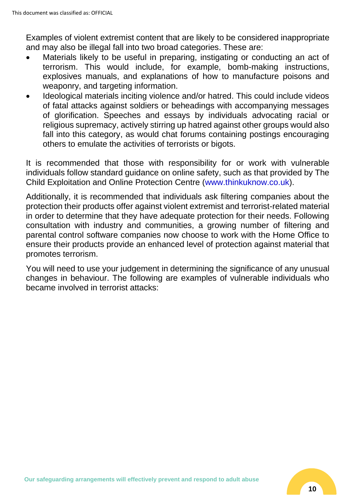Examples of violent extremist content that are likely to be considered inappropriate and may also be illegal fall into two broad categories. These are:

- Materials likely to be useful in preparing, instigating or conducting an act of terrorism. This would include, for example, bomb-making instructions, explosives manuals, and explanations of how to manufacture poisons and weaponry, and targeting information.
- Ideological materials inciting violence and/or hatred. This could include videos of fatal attacks against soldiers or beheadings with accompanying messages of glorification. Speeches and essays by individuals advocating racial or religious supremacy, actively stirring up hatred against other groups would also fall into this category, as would chat forums containing postings encouraging others to emulate the activities of terrorists or bigots.

It is recommended that those with responsibility for or work with vulnerable individuals follow standard guidance on online safety, such as that provided by The Child Exploitation and Online Protection Centre (www.thinkuknow.co.uk).

Additionally, it is recommended that individuals ask filtering companies about the protection their products offer against violent extremist and terrorist-related material in order to determine that they have adequate protection for their needs. Following consultation with industry and communities, a growing number of filtering and parental control software companies now choose to work with the Home Office to ensure their products provide an enhanced level of protection against material that promotes terrorism.

You will need to use your judgement in determining the significance of any unusual changes in behaviour. The following are examples of vulnerable individuals who became involved in terrorist attacks: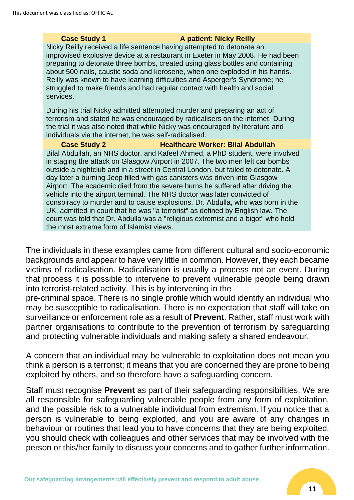#### **Case Study 1 A patient: Nicky Reilly**

Nicky Reilly received a life sentence having attempted to detonate an improvised explosive device at a restaurant in Exeter in May 2008. He had been preparing to detonate three bombs, created using glass bottles and containing about 500 nails, caustic soda and kerosene, when one exploded in his hands. Reilly was known to have learning difficulties and Asperger's Syndrome; he struggled to make friends and had regular contact with health and social services.

During his trial Nicky admitted attempted murder and preparing an act of terrorism and stated he was encouraged by radicalisers on the internet. During the trial it was also noted that while Nicky was encouraged by literature and individuals via the internet, he was self-radicalised.

**Case Study 2 Healthcare Worker: Bilal Abdullah** Bilal Abdullah, an NHS doctor, and Kafeel Ahmed, a PhD student, were involved in staging the attack on Glasgow Airport in 2007. The two men left car bombs outside a nightclub and in a street in Central London, but failed to detonate. A day later a burning Jeep filled with gas canisters was driven into Glasgow Airport. The academic died from the severe burns he suffered after driving the vehicle into the airport terminal. The NHS doctor was later convicted of conspiracy to murder and to cause explosions. Dr. Abdulla, who was born in the UK, admitted in court that he was "a terrorist" as defined by English law. The court was told that Dr. Abdulla was a "religious extremist and a bigot" who held the most extreme form of Islamist views.

The individuals in these examples came from different cultural and socio-economic backgrounds and appear to have very little in common. However, they each became victims of radicalisation. Radicalisation is usually a process not an event. During that process it is possible to intervene to prevent vulnerable people being drawn into terrorist-related activity. This is by intervening in the

pre-criminal space. There is no single profile which would identify an individual who may be susceptible to radicalisation. There is no expectation that staff will take on surveillance or enforcement role as a result of **Prevent**. Rather, staff must work with partner organisations to contribute to the prevention of terrorism by safeguarding and protecting vulnerable individuals and making safety a shared endeavour.

A concern that an individual may be vulnerable to exploitation does not mean you think a person is a terrorist; it means that you are concerned they are prone to being exploited by others, and so therefore have a safeguarding concern.

Staff must recognise **Prevent** as part of their safeguarding responsibilities. We are all responsible for safeguarding vulnerable people from any form of exploitation, and the possible risk to a vulnerable individual from extremism. If you notice that a person is vulnerable to being exploited, and you are aware of any changes in behaviour or routines that lead you to have concerns that they are being exploited, you should check with colleagues and other services that may be involved with the person or this/her family to discuss your concerns and to gather further information.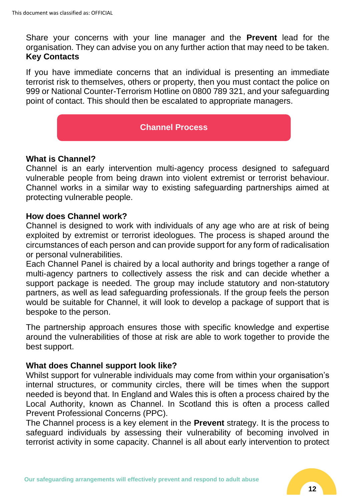Share your concerns with your line manager and the **Prevent** lead for the organisation. They can advise you on any further action that may need to be taken. **Key Contacts**

If you have immediate concerns that an individual is presenting an immediate terrorist risk to themselves, others or property, then you must contact the police on 999 or National Counter-Terrorism Hotline on 0800 789 321, and your safeguarding point of contact. This should then be escalated to appropriate managers.

#### **Channel Process**

#### **What is Channel?**

Channel is an early intervention multi-agency process designed to safeguard vulnerable people from being drawn into violent extremist or terrorist behaviour. Channel works in a similar way to existing safeguarding partnerships aimed at protecting vulnerable people.

#### **How does Channel work?**

Channel is designed to work with individuals of any age who are at risk of being exploited by extremist or terrorist ideologues. The process is shaped around the circumstances of each person and can provide support for any form of radicalisation or personal vulnerabilities.

Each Channel Panel is chaired by a local authority and brings together a range of multi-agency partners to collectively assess the risk and can decide whether a support package is needed. The group may include statutory and non-statutory partners, as well as lead safeguarding professionals. If the group feels the person would be suitable for Channel, it will look to develop a package of support that is bespoke to the person.

The partnership approach ensures those with specific knowledge and expertise around the vulnerabilities of those at risk are able to work together to provide the best support.

#### **What does Channel support look like?**

Whilst support for vulnerable individuals may come from within your organisation's internal structures, or community circles, there will be times when the support needed is beyond that. In England and Wales this is often a process chaired by the Local Authority, known as Channel. In Scotland this is often a process called Prevent Professional Concerns (PPC).

The Channel process is a key element in the **Prevent** strategy. It is the process to safeguard individuals by assessing their vulnerability of becoming involved in terrorist activity in some capacity. Channel is all about early intervention to protect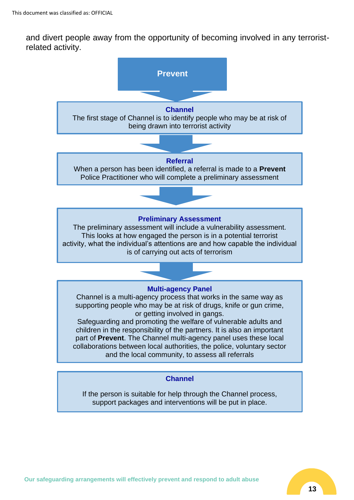and divert people away from the opportunity of becoming involved in any terroristrelated activity.



If the person is suitable for help through the Channel process, support packages and interventions will be put in place.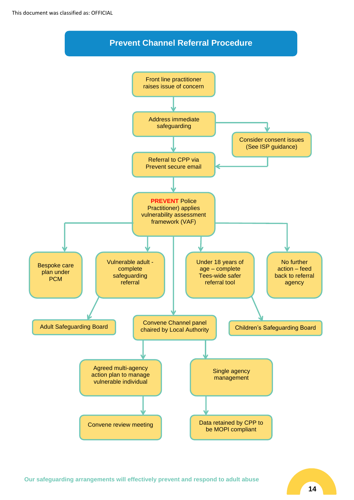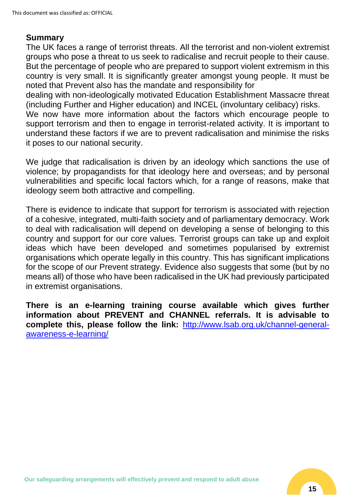#### **Summary**

The UK faces a range of terrorist threats. All the terrorist and non-violent extremist groups who pose a threat to us seek to radicalise and recruit people to their cause. But the percentage of people who are prepared to support violent extremism in this country is very small. It is significantly greater amongst young people. It must be noted that Prevent also has the mandate and responsibility for

dealing with non-ideologically motivated Education Establishment Massacre threat (including Further and Higher education) and INCEL (involuntary celibacy) risks.

We now have more information about the factors which encourage people to support terrorism and then to engage in terrorist-related activity. It is important to understand these factors if we are to prevent radicalisation and minimise the risks it poses to our national security.

We judge that radicalisation is driven by an ideology which sanctions the use of violence; by propagandists for that ideology here and overseas; and by personal vulnerabilities and specific local factors which, for a range of reasons, make that ideology seem both attractive and compelling.

There is evidence to indicate that support for terrorism is associated with rejection of a cohesive, integrated, multi-faith society and of parliamentary democracy. Work to deal with radicalisation will depend on developing a sense of belonging to this country and support for our core values. Terrorist groups can take up and exploit ideas which have been developed and sometimes popularised by extremist organisations which operate legally in this country. This has significant implications for the scope of our Prevent strategy. Evidence also suggests that some (but by no means all) of those who have been radicalised in the UK had previously participated in extremist organisations.

**There is an e-learning training course available which gives further information about PREVENT and CHANNEL referrals. It is advisable to complete this, please follow the link:** [http://www.lsab.org.uk/channel-general](http://www.lsab.org.uk/channel-general-awareness-e-learning/)[awareness-e-learning/](http://www.lsab.org.uk/channel-general-awareness-e-learning/)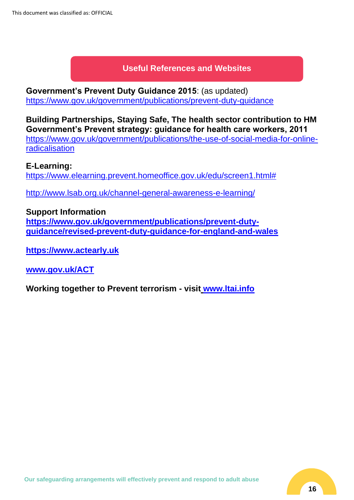## **Useful References and Websites**

**Government's Prevent Duty Guidance 2015**: (as updated) <https://www.gov.uk/government/publications/prevent-duty-guidance>

**Building Partnerships, Staying Safe, The health sector contribution to HM Government's Prevent strategy: guidance for health care workers, 2011** [https://www.gov.uk/government/publications/the-use-of-social-media-for-online-](https://www.gov.uk/government/publications/the-use-of-social-media-for-online-radicalisation)

[radicalisation](https://www.gov.uk/government/publications/the-use-of-social-media-for-online-radicalisation)

#### **E-Learning:**

[https://www.elearning.prevent.homeoffice.gov.uk/edu/screen1.html#](https://www.elearning.prevent.homeoffice.gov.uk/edu/screen1.html)

<http://www.lsab.org.uk/channel-general-awareness-e-learning/>

#### **Support Information**

**[https://www.gov.uk/government/publications/prevent-duty](https://www.gov.uk/government/publications/prevent-duty-guidance/revised-prevent-duty-guidance-for-england-and-wales)[guidance/revised-prevent-duty-guidance-for-england-and-wales](https://www.gov.uk/government/publications/prevent-duty-guidance/revised-prevent-duty-guidance-for-england-and-wales)**

**[https://www.actearly.uk](https://www.actearly.uk/)**

**[www.gov.uk/ACT](http://www.gov.uk/ACT)**

**Working together to Prevent terrorism - visit [www.ltai.info](http://www.ltai.info/)**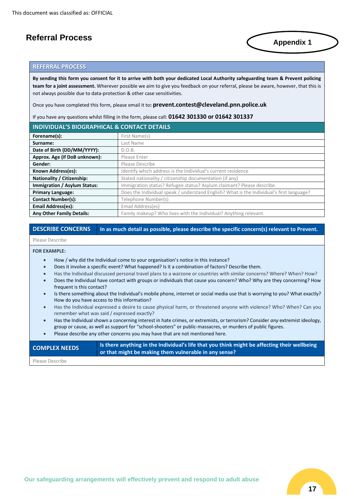#### **Referral Process**

#### **REFERRAL PROCESS**

**By sending this form you consent for it to arrive with both your dedicated Local Authority safeguarding team & Prevent policing team for a joint assessment.** Wherever possible we aim to give you feedback on your referral, please be aware, however, that this is not always possible due to data-protection & other case sensitivities.

Once you have completed this form, please email it to**: prevent.contest@cleveland.pnn.police.uk**

If you have any questions whilst filling in the form, please call: **01642 301330 or 01642 301337**

| <b>INDIVIDUAL'S BIOGRAPHICAL &amp; CONTACT DETAILS</b> |                                                                                          |  |
|--------------------------------------------------------|------------------------------------------------------------------------------------------|--|
| Forename(s):                                           | First Name(s)                                                                            |  |
| Surname:                                               | Last Name                                                                                |  |
| Date of Birth (DD/MM/YYYY):                            | D.O.B.                                                                                   |  |
| Approx. Age (if DoB unknown):                          | Please Enter                                                                             |  |
| Gender:                                                | Please Describe                                                                          |  |
| Known Address(es):                                     | Identify which address is the Individual's current residence                             |  |
| Nationality / Citizenship:                             | Stated nationality / citizenship documentation (if any)                                  |  |
| Immigration / Asylum Status:                           | Immigration status? Refugee status? Asylum claimant? Please describe.                    |  |
| <b>Primary Language:</b>                               | Does the Individual speak / understand English? What is the Individual's first language? |  |
| <b>Contact Number(s):</b>                              | Telephone Number(s)                                                                      |  |
| <b>Email Address(es):</b>                              | Email Address(es)                                                                        |  |
| <b>Any Other Family Details:</b>                       | Family makeup? Who lives with the Individual? Anything relevant.                         |  |

#### **DESCRIBE CONCERNS In as much detail as possible, please describe the specific concern(s) relevant to Prevent.**

#### Please Describe

#### **FOR EXAMPLE:**

- How / why did the Individual come to your organisation's notice in this instance?
- Does it involve a specific event? What happened? Is it a combination of factors? Describe them.
- Has the Individual discussed personal travel plans to a warzone or countries with similar concerns? Where? When? How?
- Does the Individual have contact with groups or individuals that cause you concern? Who? Why are they concerning? How frequent is this contact?
- Is there something about the Individual's mobile phone, internet or social media use that is worrying to you? What exactly? How do you have access to this information?
- Has the Individual expressed a desire to cause physical harm, or threatened anyone with violence? Who? When? Can you remember what was said / expressed exactly?
- Has the Individual shown a concerning interest in hate crimes, or extremists, or terrorism? Consider *any* extremist ideology, group or cause, as well as support for "school-shooters" or public-massacres, or murders of public figures.
- Please describe any other concerns you may have that are not mentioned here.

| <b>COMPLEX NEEDS</b> | Is there anything in the Individual's life that you think might be affecting their wellbeing<br>or that might be making them vulnerable in any sense? |
|----------------------|-------------------------------------------------------------------------------------------------------------------------------------------------------|
| Please Describe      |                                                                                                                                                       |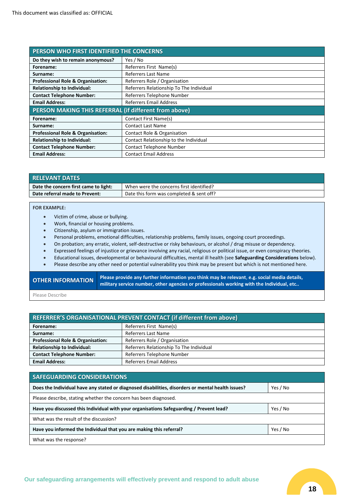| PERSON WHO FIRST IDENTIFIED THE CONCERNS              |                                          |  |
|-------------------------------------------------------|------------------------------------------|--|
| Do they wish to remain anonymous?                     | Yes / No                                 |  |
| Forename:                                             | Referrers First Name(s)                  |  |
| Surname:                                              | <b>Referrers Last Name</b>               |  |
| <b>Professional Role &amp; Organisation:</b>          | Referrers Role / Organisation            |  |
| Relationship to Individual:                           | Referrers Relationship To The Individual |  |
| <b>Contact Telephone Number:</b>                      | Referrers Telephone Number               |  |
| <b>Email Address:</b>                                 | <b>Referrers Email Address</b>           |  |
| PERSON MAKING THIS REFERRAL (if different from above) |                                          |  |
| Forename:                                             | Contact First Name(s)                    |  |
| Surname:                                              | <b>Contact Last Name</b>                 |  |
| <b>Professional Role &amp; Organisation:</b>          | <b>Contact Role &amp; Organisation</b>   |  |
| <b>Relationship to Individual:</b>                    | Contact Relationship to the Individual   |  |
| <b>Contact Telephone Number:</b>                      | Contact Telephone Number                 |  |
| <b>Email Address:</b>                                 | <b>Contact Email Address</b>             |  |

| <b>RELEVANT DATES</b>                 |                                          |
|---------------------------------------|------------------------------------------|
| Date the concern first came to light: | When were the concerns first identified? |
| Date referral made to Prevent:        | Date this form was completed & sent off? |

#### **FOR EXAMPLE:**

- Victim of crime, abuse or bullying.
- Work, financial or housing problems.
- Citizenship, asylum or immigration issues.
- Personal problems, emotional difficulties, relationship problems, family issues, ongoing court proceedings.
- On probation; any erratic, violent, self-destructive or risky behaviours, or alcohol / drug misuse or dependency.
- Expressed feelings of injustice or grievance involving any racial, religious or political issue, or even conspiracy theories.
- Educational issues, developmental or behavioural difficulties, mental ill health (see **Safeguarding Considerations** below).
- Please describe any other need or potential vulnerability you think may be present but which is not mentioned here.

|  | <b>OTHER INFORMATION</b> | Please prov  |
|--|--------------------------|--------------|
|  |                          | military ser |

**Ide any further information you think may be relevant, e.g. social media details,** vice number, other agencies or professionals working with the Individual, etc..

Please Describe

| <b>REFERRER'S ORGANISATIONAL PREVENT CONTACT (if different from above)</b> |                                          |  |
|----------------------------------------------------------------------------|------------------------------------------|--|
| Forename:                                                                  | Referrers First Name(s)                  |  |
| Surname:                                                                   | Referrers Last Name                      |  |
| <b>Professional Role &amp; Organisation:</b>                               | Referrers Role / Organisation            |  |
| <b>Relationship to Individual:</b>                                         | Referrers Relationship To The Individual |  |
| <b>Contact Telephone Number:</b>                                           | Referrers Telephone Number               |  |
| <b>Email Address:</b>                                                      | <b>Referrers Email Address</b>           |  |

| <b>SAFEGUARDING CONSIDERATIONS</b>                                                                |          |
|---------------------------------------------------------------------------------------------------|----------|
| Does the Individual have any stated or diagnosed disabilities, disorders or mental health issues? | Yes / No |
| Please describe, stating whether the concern has been diagnosed.                                  |          |
| Have you discussed this Individual with your organisations Safeguarding / Prevent lead?           | Yes / No |
| What was the result of the discussion?                                                            |          |
| Have you informed the Individual that you are making this referral?                               | Yes / No |
| What was the response?                                                                            |          |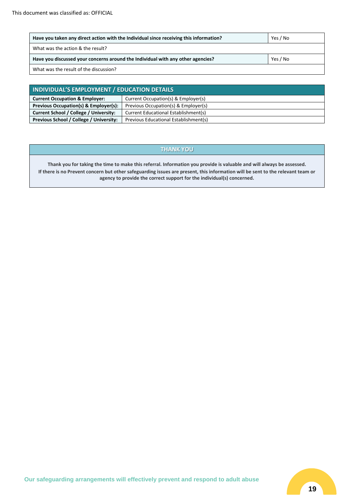| Have you taken any direct action with the Individual since receiving this information? | Yes / No |
|----------------------------------------------------------------------------------------|----------|
| What was the action & the result?                                                      |          |
| Have you discussed your concerns around the Individual with any other agencies?        | Yes / No |
| What was the result of the discussion?                                                 |          |

| INDIVIDUAL'S EMPLOYMENT / EDUCATION DETAILS |                                       |
|---------------------------------------------|---------------------------------------|
| <b>Current Occupation &amp; Employer:</b>   | Current Occupation(s) & Employer(s)   |
| Previous Occupation(s) & Employer(s):       | Previous Occupation(s) & Employer(s)  |
| Current School / College / University:      | Current Educational Establishment(s)  |
| Previous School / College / University:     | Previous Educational Establishment(s) |

#### **THANK YOU**

**Thank you for taking the time to make this referral. Information you provide is valuable and will always be assessed. If there is no Prevent concern but other safeguarding issues are present, this information will be sent to the relevant team or agency to provide the correct support for the individual(s) concerned.**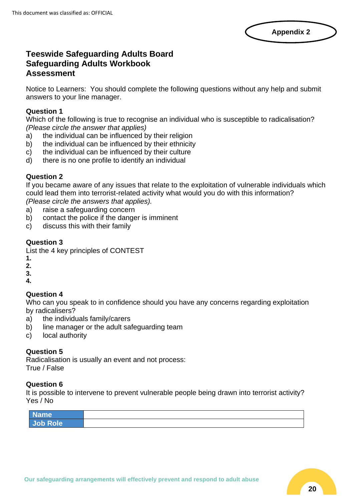

#### **Teeswide Safeguarding Adults Board Safeguarding Adults Workbook Assessment**

Notice to Learners: You should complete the following questions without any help and submit answers to your line manager.

#### **Question 1**

Which of the following is true to recognise an individual who is susceptible to radicalisation? *(Please circle the answer that applies)*

- a) the individual can be influenced by their religion
- b) the individual can be influenced by their ethnicity
- c) the individual can be influenced by their culture
- d) there is no one profile to identify an individual

#### **Question 2**

If you became aware of any issues that relate to the exploitation of vulnerable individuals which could lead them into terrorist-related activity what would you do with this information?

*(Please circle the answers that applies).* 

- a) raise a safeguarding concern
- b) contact the police if the danger is imminent
- c) discuss this with their family

#### **Question 3**

List the 4 key principles of CONTEST

- **1.**
- **2.**
- **3.**
- **4.**

#### **Question 4**

Who can you speak to in confidence should you have any concerns regarding exploitation by radicalisers?

- a) the individuals family/carers
- b) line manager or the adult safeguarding team
- c) local authority

#### **Question 5**

Radicalisation is usually an event and not process: True / False

#### **Question 6**

It is possible to intervene to prevent vulnerable people being drawn into terrorist activity? Yes / No

| $\overline{\phantom{a}}$ N<br>ame∖ |  |
|------------------------------------|--|
| Job Role                           |  |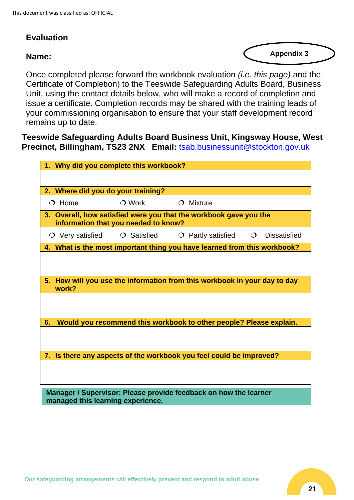## **Evaluation**

#### **Name:**

**Appendix 3**

Once completed please forward the workbook evaluation *(i.e. this page)* and the Certificate of Completion) to the Teeswide Safeguarding Adults Board, Business Unit, using the contact details below, who will make a record of completion and issue a certificate. Completion records may be shared with the training leads of your commissioning organisation to ensure that your staff development record remains up to date.

**Teeswide Safeguarding Adults Board Business Unit, Kingsway House, West Precinct, Billingham, TS23 2NX Email:** [tsab.businessunit@stockton.gov.uk](mailto:tsab.businessunit@stockton.gov.uk)

| 1. Why did you complete this workbook?                                                                    |                   |                                                                     |          |                     |  |  |
|-----------------------------------------------------------------------------------------------------------|-------------------|---------------------------------------------------------------------|----------|---------------------|--|--|
|                                                                                                           |                   |                                                                     |          |                     |  |  |
| 2. Where did you do your training?                                                                        |                   |                                                                     |          |                     |  |  |
| $\bigcirc$ Home                                                                                           | $\bigcirc$ Work   | $\bigcirc$ Mixture                                                  |          |                     |  |  |
| 3. Overall, how satisfied were you that the workbook gave you the<br>information that you needed to know? |                   |                                                                     |          |                     |  |  |
| $\circ$ Very satisfied                                                                                    | $\circ$ Satisfied | $\circ$ Partly satisfied                                            | $\Omega$ | <b>Dissatisfied</b> |  |  |
| 4. What is the most important thing you have learned from this workbook?                                  |                   |                                                                     |          |                     |  |  |
|                                                                                                           |                   |                                                                     |          |                     |  |  |
| 5. How will you use the information from this workbook in your day to day<br>work?                        |                   |                                                                     |          |                     |  |  |
|                                                                                                           |                   |                                                                     |          |                     |  |  |
| 6.                                                                                                        |                   | Would you recommend this workbook to other people? Please explain.  |          |                     |  |  |
|                                                                                                           |                   |                                                                     |          |                     |  |  |
|                                                                                                           |                   | 7. Is there any aspects of the workbook you feel could be improved? |          |                     |  |  |
|                                                                                                           |                   |                                                                     |          |                     |  |  |
| Manager / Supervisor: Please provide feedback on how the learner<br>managed this learning experience.     |                   |                                                                     |          |                     |  |  |
|                                                                                                           |                   |                                                                     |          |                     |  |  |